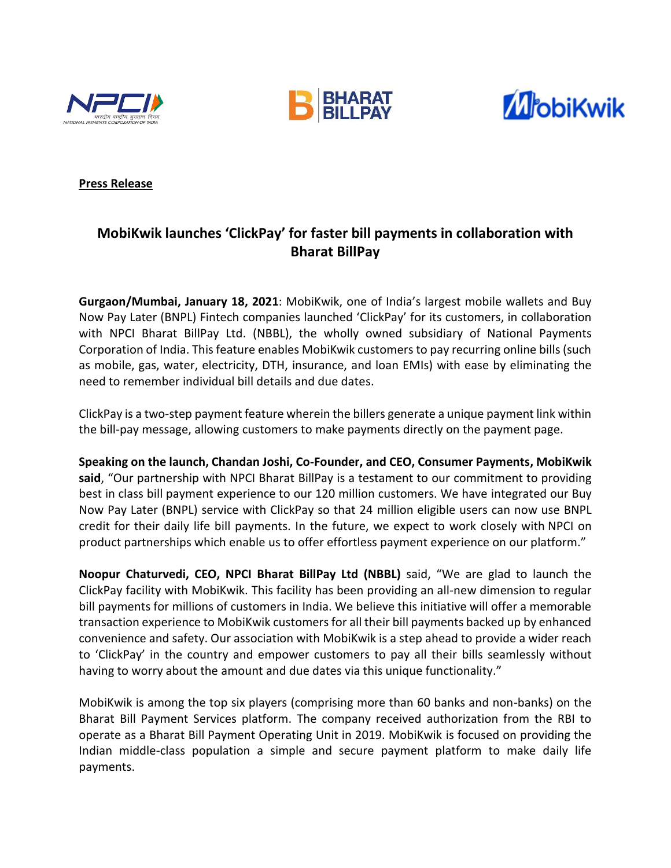





# **Press Release**

# **MobiKwik launches 'ClickPay' for faster bill payments in collaboration with Bharat BillPay**

**Gurgaon/Mumbai, January 18, 2021**: MobiKwik, one of India's largest mobile wallets and Buy Now Pay Later (BNPL) Fintech companies launched 'ClickPay' for its customers, in collaboration with NPCI Bharat BillPay Ltd. (NBBL), the wholly owned subsidiary of National Payments Corporation of India. This feature enables MobiKwik customers to pay recurring online bills (such as mobile, gas, water, electricity, DTH, insurance, and loan EMIs) with ease by eliminating the need to remember individual bill details and due dates.

ClickPay is a two-step payment feature wherein the billers generate a unique payment link within the bill-pay message, allowing customers to make payments directly on the payment page.

**Speaking on the launch, Chandan Joshi, Co-Founder, and CEO, Consumer Payments, MobiKwik said**, "Our partnership with NPCI Bharat BillPay is a testament to our commitment to providing best in class bill payment experience to our 120 million customers. We have integrated our Buy Now Pay Later (BNPL) service with ClickPay so that 24 million eligible users can now use BNPL credit for their daily life bill payments. In the future, we expect to work closely with NPCI on product partnerships which enable us to offer effortless payment experience on our platform."

**Noopur Chaturvedi, CEO, NPCI Bharat BillPay Ltd (NBBL)** said, "We are glad to launch the ClickPay facility with MobiKwik. This facility has been providing an all-new dimension to regular bill payments for millions of customers in India. We believe this initiative will offer a memorable transaction experience to MobiKwik customers for all their bill payments backed up by enhanced convenience and safety. Our association with MobiKwik is a step ahead to provide a wider reach to 'ClickPay' in the country and empower customers to pay all their bills seamlessly without having to worry about the amount and due dates via this unique functionality."

MobiKwik is among the top six players (comprising more than 60 banks and non-banks) on the Bharat Bill Payment Services platform. The company received authorization from the RBI to operate as a Bharat Bill Payment Operating Unit in 2019. MobiKwik is focused on providing the Indian middle-class population a simple and secure payment platform to make daily life payments.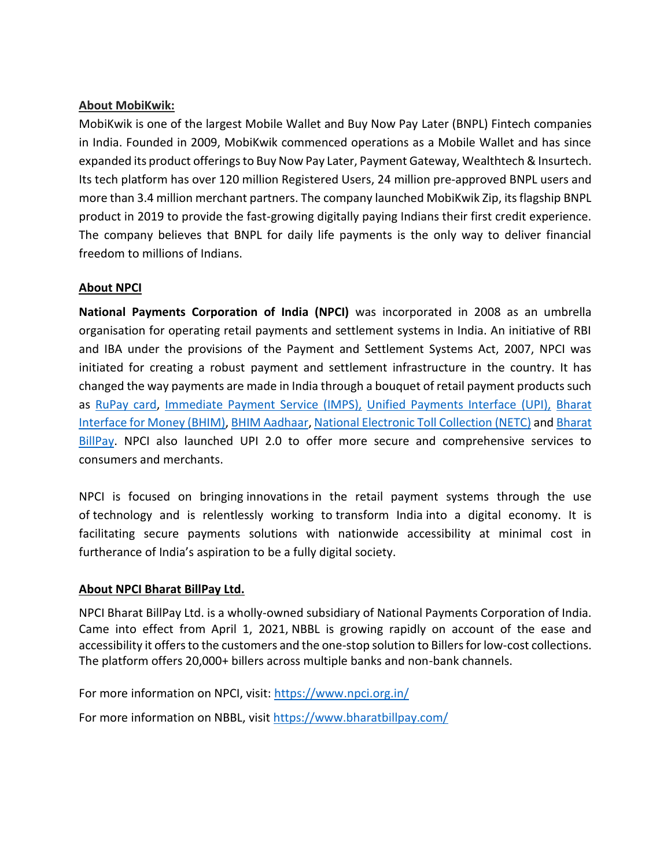# **About MobiKwik:**

MobiKwik is one of the largest Mobile Wallet and Buy Now Pay Later (BNPL) Fintech companies in India. Founded in 2009, MobiKwik commenced operations as a Mobile Wallet and has since expanded its product offerings to Buy Now Pay Later, Payment Gateway, Wealthtech & Insurtech. Its tech platform has over 120 million Registered Users, 24 million pre-approved BNPL users and more than 3.4 million merchant partners. The company launched MobiKwik Zip, its flagship BNPL product in 2019 to provide the fast-growing digitally paying Indians their first credit experience. The company believes that BNPL for daily life payments is the only way to deliver financial freedom to millions of Indians.

# **About NPCI**

**National Payments Corporation of India (NPCI)** was incorporated in 2008 as an umbrella organisation for operating retail payments and settlement systems in India. An initiative of RBI and IBA under the provisions of the Payment and Settlement Systems Act, 2007, NPCI was initiated for creating a robust payment and settlement infrastructure in the country. It has changed the way payments are made in India through a bouquet of retail payment products such as [RuPay card,](https://www.npci.org.in/product-overview/rupay-product-overview) [Immediate Payment Service \(IMPS\),](https://www.npci.org.in/product-overview/imps-product-overview) [Unified Payments Interface \(UPI\),](https://www.npci.org.in/product-overview/upi-product-overview) [Bharat](https://www.npci.org.in/product-overview/bhim-product-overview)  [Interface for Money \(BHIM\),](https://www.npci.org.in/product-overview/bhim-product-overview) [BHIM Aadhaar,](https://www.npci.org.in/product-overview/bhim-aadhaar) [National Electronic Toll Collection \(NETC\)](https://www.npci.org.in/netc) and [Bharat](https://www.npci.org.in/product-overview/bharat-billpay-product-overview)  [BillPay.](https://www.npci.org.in/product-overview/bharat-billpay-product-overview) NPCI also launched UPI 2.0 to offer more secure and comprehensive services to consumers and merchants.

NPCI is focused on bringing innovations in the retail payment systems through the use of technology and is relentlessly working to transform India into a digital economy. It is facilitating secure payments solutions with nationwide accessibility at minimal cost in furtherance of India's aspiration to be a fully digital society.

# **About NPCI Bharat BillPay Ltd.**

NPCI Bharat BillPay Ltd. is a wholly-owned subsidiary of National Payments Corporation of India. Came into effect from April 1, 2021, NBBL is growing rapidly on account of the ease and accessibility it offers to the customers and the one-stop solution to Billers for low-cost collections. The platform offers 20,000+ billers across multiple banks and non-bank channels.

For more information on NPCI, visit: [https://www.npci.org.in/](https://ind01.safelinks.protection.outlook.com/?url=https%3A%2F%2Fwww.npci.org.in%2F&data=04%7C01%7Cnoopur.chaturvedi%40npci.org.in%7C3fdfcc3e7cd0429cf2bd08d95bbfb335%7C8ca9216b1bdf40569775f5e402a48d32%7C0%7C0%7C637641701176420096%7CUnknown%7CTWFpbGZsb3d8eyJWIjoiMC4wLjAwMDAiLCJQIjoiV2luMzIiLCJBTiI6Ik1haWwiLCJXVCI6Mn0%3D%7C1000&sdata=kSIOwI4Y6bEKbJ1qx7Bi13OkebeowtBYLPDvbI%2FtzzQ%3D&reserved=0)

For more information on NBBL, visit<https://www.bharatbillpay.com/>